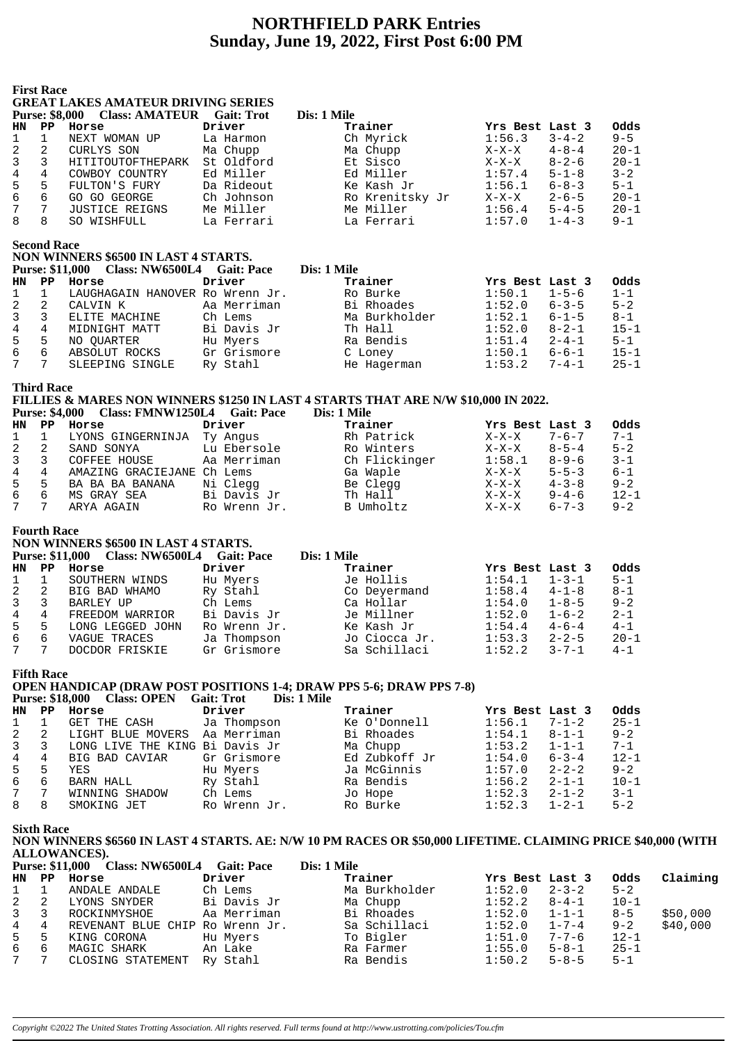# **NORTHFIELD PARK Entries Sunday, June 19, 2022, First Post 6:00 PM**

|                     | <b>First Race</b>             |                                                      |                                                                                                                                                                                                                                     |                                                                                    |                           |             |                 |
|---------------------|-------------------------------|------------------------------------------------------|-------------------------------------------------------------------------------------------------------------------------------------------------------------------------------------------------------------------------------------|------------------------------------------------------------------------------------|---------------------------|-------------|-----------------|
|                     |                               | <b>GREAT LAKES AMATEUR DRIVING SERIES</b>            |                                                                                                                                                                                                                                     |                                                                                    |                           |             |                 |
|                     | <b>Purse: \$8,000</b>         | <b>Class: AMATEUR</b> Gait: Trot                     | Driver                                                                                                                                                                                                                              | Dis: 1 Mile<br>Trainer                                                             |                           |             |                 |
| <b>HN</b>           | $\mathbf{PP}$<br>$\mathbf{1}$ | Horse<br>NEXT WOMAN UP                               |                                                                                                                                                                                                                                     |                                                                                    | Yrs Best Last 3<br>1:56.3 | $3 - 4 - 2$ | Odds<br>$9 - 5$ |
| 1<br>$\overline{2}$ | $\overline{2}$                | CURLYS SON                                           | La Harmon<br>Ma Chupp                                                                                                                                                                                                               | Ch Myrick<br>Ma Chupp                                                              | $X-X-X$                   | $4 - 8 - 4$ | $20 - 1$        |
| 3                   | 3                             | HITITOUTOFTHEPARK                                    | St Oldford                                                                                                                                                                                                                          | Et Sisco                                                                           | $X-X-X$                   | $8 - 2 - 6$ | $20 - 1$        |
| 4                   | $\overline{4}$                | COWBOY COUNTRY                                       | Ed Miller                                                                                                                                                                                                                           | Ed Miller                                                                          | 1:57.4                    | $5 - 1 - 8$ | $3 - 2$         |
| 5                   | 5                             | FULTON'S FURY                                        | Da Rideout                                                                                                                                                                                                                          | Ke Kash Jr                                                                         | 1:56.1                    | $6 - 8 - 3$ | $5 - 1$         |
| 6                   | 6                             | GO GO GEORGE                                         | Ch Johnson                                                                                                                                                                                                                          | Ro Krenitsky Jr                                                                    | $X-X-X$                   | $2 - 6 - 5$ | $20 - 1$        |
| 7                   | 7                             | <b>JUSTICE REIGNS</b>                                | Me Miller                                                                                                                                                                                                                           | Me Miller                                                                          | 1:56.4                    | $5 - 4 - 5$ | $20 - 1$        |
| 8                   | 8                             | SO WISHFULL                                          | La Ferrari                                                                                                                                                                                                                          | La Ferrari                                                                         | 1:57.0                    | $1 - 4 - 3$ | $9 - 1$         |
|                     |                               |                                                      |                                                                                                                                                                                                                                     |                                                                                    |                           |             |                 |
|                     | <b>Second Race</b>            |                                                      |                                                                                                                                                                                                                                     |                                                                                    |                           |             |                 |
|                     |                               | NON WINNERS \$6500 IN LAST 4 STARTS.                 |                                                                                                                                                                                                                                     |                                                                                    |                           |             |                 |
|                     |                               | Purse: \$11,000 Class: NW6500L4 Gait: Pace           |                                                                                                                                                                                                                                     | Dis: 1 Mile                                                                        |                           |             |                 |
| <b>HN</b>           | $\mathbf{PP}$                 | Horse                                                | Driver                                                                                                                                                                                                                              | Trainer                                                                            | Yrs Best Last 3           |             | Odds            |
| 1                   | $\mathbf{1}$                  | LAUGHAGAIN HANOVER Ro Wrenn Jr.                      |                                                                                                                                                                                                                                     | Ro Burke                                                                           | 1:50.1                    | $1 - 5 - 6$ | $1 - 1$         |
| $\overline{2}$      | $\overline{a}$                | CALVIN K                                             | Aa Merriman                                                                                                                                                                                                                         | Bi Rhoades                                                                         | 1:52.0                    | $6 - 3 - 5$ | $5 - 2$         |
| 3                   | $\mathbf{3}$                  | ELITE MACHINE                                        | Ch Lems                                                                                                                                                                                                                             | Ma Burkholder                                                                      | 1:52.1                    | $6 - 1 - 5$ | $8 - 1$         |
| 4                   | $\overline{4}$                | MIDNIGHT MATT                                        | Bi Davis Jr                                                                                                                                                                                                                         | Th Hall                                                                            | 1:52.0                    | $8 - 2 - 1$ | $15 - 1$        |
| 5                   | 5                             | NO OUARTER                                           | Hu Myers                                                                                                                                                                                                                            | Ra Bendis                                                                          | 1:51.4                    | $2 - 4 - 1$ | $5 - 1$         |
| 6                   | 6                             | ABSOLUT ROCKS                                        | Gr Grismore                                                                                                                                                                                                                         | C Loney                                                                            | 1:50.1                    | $6 - 6 - 1$ | $15 - 1$        |
| 7                   | 7                             | SLEEPING SINGLE                                      | Ry Stahl                                                                                                                                                                                                                            | He Hagerman                                                                        | 1:53.2                    | $7 - 4 - 1$ | $25 - 1$        |
|                     | <b>Third Race</b>             |                                                      |                                                                                                                                                                                                                                     |                                                                                    |                           |             |                 |
|                     |                               |                                                      |                                                                                                                                                                                                                                     | FILLIES & MARES NON WINNERS \$1250 IN LAST 4 STARTS THAT ARE N/W \$10,000 IN 2022. |                           |             |                 |
|                     | <b>Purse: \$4,000</b>         | Class: FMNW1250L4 Gait: Pace                         |                                                                                                                                                                                                                                     | Dis: 1 Mile                                                                        |                           |             |                 |
| <b>HN</b>           | $\mathbf{PP}$                 | Horse                                                | Driver                                                                                                                                                                                                                              | Trainer                                                                            | Yrs Best Last 3           |             | Odds            |
| $\mathbf 1$         | $\mathbf{1}$                  | LYONS GINGERNINJA                                    | Ty Angus                                                                                                                                                                                                                            | Rh Patrick                                                                         | $X-X-X$                   | $7 - 6 - 7$ | $7 - 1$         |
| $\overline{2}$      | 2                             | SAND SONYA                                           | Lu Ebersole                                                                                                                                                                                                                         | Ro Winters                                                                         | $X-X-X$                   | $8 - 5 - 4$ | $5 - 2$         |
| 3                   | $\mathbf{3}$                  | COFFEE HOUSE                                         | Aa Merriman                                                                                                                                                                                                                         | Ch Flickinger                                                                      | 1:58.1                    | $8 - 9 - 6$ | $3 - 1$         |
| $\overline{4}$      | $4\overline{ }$               | AMAZING GRACIEJANE Ch Lems                           |                                                                                                                                                                                                                                     | Ga Waple                                                                           | $X-X-X$                   | $5 - 5 - 3$ | $6 - 1$         |
| 5                   | 5                             | BA BA BA BANANA                                      | Ni Clegg                                                                                                                                                                                                                            | Be Clegg                                                                           | $X-X-X$                   | $4 - 3 - 8$ | $9 - 2$         |
| 6                   | 6                             | MS GRAY SEA                                          | Bi Davis Jr                                                                                                                                                                                                                         | Th Hall                                                                            | $X-X-X$                   | $9 - 4 - 6$ | $12 - 1$        |
| 7                   | 7                             | ARYA AGAIN                                           | Ro Wrenn Jr.                                                                                                                                                                                                                        | <b>B</b> Umholtz                                                                   | $X-X-X$                   | $6 - 7 - 3$ | $9 - 2$         |
|                     | <b>Fourth Race</b>            |                                                      |                                                                                                                                                                                                                                     |                                                                                    |                           |             |                 |
|                     |                               | NON WINNERS \$6500 IN LAST 4 STARTS.                 |                                                                                                                                                                                                                                     |                                                                                    |                           |             |                 |
|                     |                               | <b>Purse: \$11,000</b><br>Class: NW6500L4 Gait: Pace |                                                                                                                                                                                                                                     | Dis: 1 Mile                                                                        |                           |             |                 |
|                     |                               | $TITAT$ $TITA = 1$                                   | <u>read</u> and the contract of the contract of the contract of the contract of the contract of the contract of the contract of the contract of the contract of the contract of the contract of the contract of the contract of the | <b>There</b> distance                                                              | Ver Dreft Treft 2         |             | سقده            |

|             |    | $\frac{1}{2}$ and $\frac{1}{2}$ and $\frac{1}{2}$ and $\frac{1}{2}$ and $\frac{1}{2}$ and $\frac{1}{2}$ and $\frac{1}{2}$ and $\frac{1}{2}$ and $\frac{1}{2}$ and $\frac{1}{2}$ and $\frac{1}{2}$ and $\frac{1}{2}$ and $\frac{1}{2}$ and $\frac{1}{2}$ and $\frac{1}{2}$ and $\frac{1}{2}$ a |              |               |                       |          |
|-------------|----|-----------------------------------------------------------------------------------------------------------------------------------------------------------------------------------------------------------------------------------------------------------------------------------------------|--------------|---------------|-----------------------|----------|
| HN PP       |    | Horse                                                                                                                                                                                                                                                                                         | Driver       | Trainer       | Yrs Best Last 3       | Odds     |
| $1 \quad 1$ |    | SOUTHERN WINDS                                                                                                                                                                                                                                                                                | Hu Myers     | Je Hollis     | $1 - 3 - 1$<br>1:54.1 | 5-1      |
| $2 \quad 2$ |    | BIG BAD WHAMO                                                                                                                                                                                                                                                                                 | Ry Stahl     | Co Deyermand  | $4 - 1 - 8$<br>1:58.4 | $8 - 1$  |
| 3 3         |    | BARLEY UP                                                                                                                                                                                                                                                                                     | Ch Lems      | Ca Hollar     | $1 - 8 - 5$<br>1:54.0 | $9 - 2$  |
| 4 4         |    | FREEDOM WARRIOR                                                                                                                                                                                                                                                                               | Bi Davis Jr  | Je Millner    | $1 - 6 - 2$<br>1:52.0 | $2 - 1$  |
| 5           | -5 | LONG LEGGED JOHN                                                                                                                                                                                                                                                                              | Ro Wrenn Jr. | Ke Kash Jr    | $4 - 6 - 4$<br>1:54.4 | $4 - 1$  |
| 66          |    | VAGUE TRACES                                                                                                                                                                                                                                                                                  | Ja Thompson  | Jo Ciocca Jr. | 1:53.3<br>$2 - 2 - 5$ | $20 - 1$ |
| 7 7         |    | DOCDOR FRISKIE                                                                                                                                                                                                                                                                                | Gr Grismore  | Sa Schillaci  | $3 - 7 - 1$<br>1:52.2 | $4 - 1$  |
|             |    |                                                                                                                                                                                                                                                                                               |              |               |                       |          |

**Fifth Race**

#### **OPEN HANDICAP (DRAW POST POSITIONS 1-4; DRAW PPS 5-6; DRAW PPS 7-8)**

**Purse: \$18,000 Class: OPEN Gait: Trot Dis: 1 Mile**

| HN              | PP. | Horse                          | Driver       | Trainer       | Yrs Best Last 3 |             | Odds     |
|-----------------|-----|--------------------------------|--------------|---------------|-----------------|-------------|----------|
|                 |     | GET THE CASH                   | Ja Thompson  | Ke O'Donnell  | 1:56.1          | 7-1-2       | $25 - 1$ |
|                 |     | LIGHT BLUE MOVERS              | Aa Merriman  | Bi Rhoades    | 1:54.1          | $8 - 1 - 1$ | $9 - 2$  |
| 3 3             |     | LONG LIVE THE KING Bi Davis Jr |              | Ma Chupp      | 1:53.2          | $1 - 1 - 1$ | $7 - 1$  |
| $4\overline{ }$ | 4   | BIG BAD CAVIAR                 | Gr Grismore  | Ed Zubkoff Jr | 1:54.0          | $6 - 3 - 4$ | $12 - 1$ |
| 5               | 5   | YES                            | Hu Myers     | Ja McGinnis   | 1:57.0          | $2 - 2 - 2$ | $9 - 2$  |
| 6               | 6   | BARN HALL                      | Ry Stahl     | Ra Bendis     | 1:56.2          | $2 - 1 - 1$ | $10 - 1$ |
| 7 7             |     | WINNING SHADOW                 | Ch Lems      | Jo Hope       | 1:52.3          | $2 - 1 - 2$ | $3 - 1$  |
| 8               | 8   | SMOKING JET                    | Ro Wrenn Jr. | Ro Burke      | 1:52.3          | $1 - 2 - 1$ | $5 - 2$  |

**Sixth Race**

**NON WINNERS \$6560 IN LAST 4 STARTS. AE: N/W 10 PM RACES OR \$50,000 LIFETIME. CLAIMING PRICE \$40,000 (WITH ALLOWANCES).**

|              |    | Purse: \$11,000 Class: NW6500L4 | <b>Gait: Pace</b> | Dis: 1 Mile   |                 |             |          |          |
|--------------|----|---------------------------------|-------------------|---------------|-----------------|-------------|----------|----------|
| HN .         | PP | Horse                           | Driver            | Trainer       | Yrs Best Last 3 |             | Odds     | Claiming |
| $\mathbf{1}$ |    | ANDALE ANDALE                   | Ch Lems           | Ma Burkholder | 1:52.0          | $2 - 3 - 2$ | $5 - 2$  |          |
| 2            |    | LYONS SNYDER                    | Bi Davis Jr       | Ma Chupp      | 1:52.2          | $8 - 4 - 1$ | $10 - 1$ |          |
| 3            |    | ROCKINMYSHOE                    | Aa Merriman       | Bi Rhoades    | 1:52.0          | $1 - 1 - 1$ | $8 - 5$  | \$50,000 |
| 4            | 4  | REVENANT BLUE CHIP Ro Wrenn Jr. |                   | Sa Schillaci  | 1:52.0          | $1 - 7 - 4$ | $9 - 2$  | \$40,000 |
| 5            | 5  | KING CORONA                     | Hu Myers          | To Bigler     | 1:51.0          | $7 - 7 - 6$ | $12 - 1$ |          |
| 6            | 6  | MAGIC SHARK                     | An Lake           | Ra Farmer     | 1:55.0          | $5 - 8 - 1$ | $25 - 1$ |          |
| 7            |    | CLOSING STATEMENT               | Ry Stahl          | Ra Bendis     | 1:50.2          | $5 - 8 - 5$ | $5 - 1$  |          |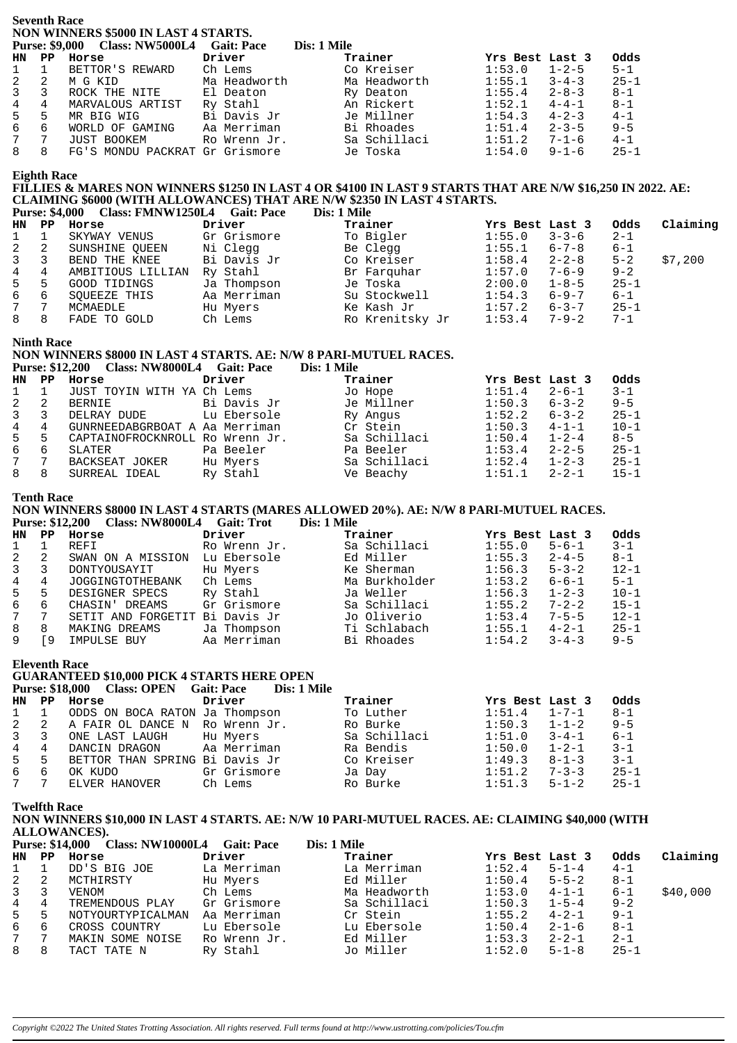**Seventh Race NON WINNERS \$5000 IN LAST 4 STARTS.**

|                | <b>Purse: \$9,000</b> | <b>Class: NW5000L4</b>         | <b>Gait: Pace</b> | Dis: 1 Mile  |                       |          |
|----------------|-----------------------|--------------------------------|-------------------|--------------|-----------------------|----------|
| <b>HN</b>      | PP                    | Horse                          | Driver            | Trainer      | Yrs Best Last 3       | Odds     |
| $\mathbf{1}$   | $\mathbf{1}$          | BETTOR'S REWARD                | Ch Lems           | Co Kreiser   | 1:53.0<br>$1 - 2 - 5$ | $5 - 1$  |
| 2              | 2                     | M G KID                        | Ma Headworth      | Ma Headworth | 1:55.1<br>$3 - 4 - 3$ | $25 - 1$ |
| $\mathbf{3}$   | 3                     | ROCK THE NITE                  | El Deaton         | Ry Deaton    | 1:55.4<br>$2 - 8 - 3$ | $8 - 1$  |
| $\overline{4}$ | 4                     | MARVALOUS ARTIST               | Ry Stahl          | An Rickert   | $4 - 4 - 1$<br>1:52.1 | $8 - 1$  |
| 5              | 5                     | MR BIG WIG                     | Bi Davis Jr       | Je Millner   | 1:54.3<br>$4 - 2 - 3$ | $4 - 1$  |
| 6              | 6                     | WORLD OF GAMING                | Aa Merriman       | Bi Rhoades   | 1:51.4<br>$2 - 3 - 5$ | $9 - 5$  |
| 7              |                       | JUST BOOKEM                    | Ro Wrenn Jr.      | Sa Schillaci | 1:51.2<br>$7 - 1 - 6$ | $4 - 1$  |
| 8              | 8                     | FG'S MONDU PACKRAT Gr Grismore |                   | Je Toska     | 1:54.0<br>$9 - 1 - 6$ | $25 - 1$ |

### **Eighth Race**

## **FILLIES & MARES NON WINNERS \$1250 IN LAST 4 OR \$4100 IN LAST 9 STARTS THAT ARE N/W \$16,250 IN 2022. AE: CLAIMING \$6000 (WITH ALLOWANCES) THAT ARE N/W \$2350 IN LAST 4 STARTS.**

|       | <b>Purse: \$4,000</b> | <b>Class: FMNW1250L4</b> | <b>Gait: Pace</b> | Dis: 1 Mile     |                 |             |          |          |
|-------|-----------------------|--------------------------|-------------------|-----------------|-----------------|-------------|----------|----------|
| HN PP |                       | Horse                    | Driver            | Trainer         | Yrs Best Last 3 |             | Odds     | Claiming |
|       |                       | SKYWAY VENUS             | Gr Grismore       | To Bigler       | 1:55.0          | $3 - 3 - 6$ | $2 - 1$  |          |
| 2     | 2                     | SUNSHINE OUEEN           | Ni Clegg          | Be Clegg        | 1:55.1          | $6 - 7 - 8$ | $6 - 1$  |          |
| 3     | 3                     | BEND THE KNEE            | Bi Davis Jr       | Co Kreiser      | 1:58.4          | $2 - 2 - 8$ | $5 - 2$  | \$7,200  |
| 4     | 4                     | AMBITIOUS LILLIAN        | Ry Stahl          | Br Farquhar     | 1:57.0          | $7 - 6 - 9$ | $9 - 2$  |          |
| 5     | 5                     | GOOD TIDINGS             | Ja Thompson       | Je Toska        | 2:00.0          | $1 - 8 - 5$ | $25 - 1$ |          |
| 6     | 6                     | SOUEEZE THIS             | Aa Merriman       | Su Stockwell    | 1:54.3          | $6 - 9 - 7$ | $6 - 1$  |          |
| 7     | ⇁                     | MCMAEDLE                 | Hu Myers          | Ke Kash Jr      | 1:57.2          | $6 - 3 - 7$ | $25 - 1$ |          |
| 8     | 8                     | FADE TO GOLD             | Ch Lems           | Ro Krenitsky Jr | 1:53.4          | $7 - 9 - 2$ | $7 - 1$  |          |

#### **Ninth Race**

## **NON WINNERS \$8000 IN LAST 4 STARTS. AE: N/W 8 PARI-MUTUEL RACES.**

**Purse: \$12,200 Class: NW8000L4 Gait: Pace Dis: 1 Mile**

| HN           | PP | Horse                           | Driver      | Trainer      | Yrs Best Last 3 |             | Odds     |
|--------------|----|---------------------------------|-------------|--------------|-----------------|-------------|----------|
| $\mathbf{1}$ |    | JUST TOYIN WITH YA Ch Lems      |             | Jo Hope      | 1:51.4          | $2 - 6 - 1$ | $3 - 1$  |
| 2            | 2  | BERNIE                          | Bi Davis Jr | Je Millner   | 1:50.3          | $6 - 3 - 2$ | $9 - 5$  |
| $\mathbf{3}$ |    | DELRAY DUDE                     | Lu Ebersole | Ry Angus     | 1:52.2          | $6 - 3 - 2$ | $25 - 1$ |
| 4            |    | GUNRNEEDABGRBOAT A Aa Merriman  |             | Cr Stein     | 1:50.3          | $4 - 1 - 1$ | $10 - 1$ |
| 5            | 5  | CAPTAINOFROCKNROLL Ro Wrenn Jr. |             | Sa Schillaci | 1:50.4          | $1 - 2 - 4$ | $8 - 5$  |
| ნ.           | 6  | SLATER                          | Pa Beeler   | Pa Beeler    | 1:53.4          | $2 - 2 - 5$ | $25 - 1$ |
| 7 7          |    | BACKSEAT JOKER                  | Hu Myers    | Sa Schillaci | 1:52.4          | $1 - 2 - 3$ | $25 - 1$ |
| 8            | 8  | SURREAL IDEAL                   | Ry Stahl    | Ve Beachy    | 1:51.1          | $2 - 2 - 1$ | $15 - 1$ |

#### **Tenth Race**

**NON WINNERS \$8000 IN LAST 4 STARTS (MARES ALLOWED 20%). AE: N/W 8 PARI-MUTUEL RACES. Purse: \$12,200 Class: NW8000L4 Gait: Trot Dis: 1 Mile**

| HN           | PP. | Horse                          | Driver       | Trainer       | Yrs Best Last 3 |             | Odds     |
|--------------|-----|--------------------------------|--------------|---------------|-----------------|-------------|----------|
| $\mathbf{1}$ |     | REFI                           | Ro Wrenn Jr. | Sa Schillaci  | 1:55.0          | $5 - 6 - 1$ | $3 - 1$  |
| 2            | 2   | SWAN ON A MISSION              | Lu Ebersole  | Ed Miller     | 1:55.3          | $2 - 4 - 5$ | 8-1      |
| 3 3          |     | DONTYOUSAYIT                   | Hu Myers     | Ke Sherman    | 1:56.3          | $5 - 3 - 2$ | $12 - 1$ |
| 4            | 4   | JOGGINGTOTHEBANK               | Ch Lems      | Ma Burkholder | 1:53.2          | $6 - 6 - 1$ | $5 - 1$  |
| 5            | 5   | DESIGNER SPECS                 | Ry Stahl     | Ja Weller     | 1:56.3          | $1 - 2 - 3$ | $10 - 1$ |
| 6            | 6   | CHASIN' DREAMS                 | Gr Grismore  | Sa Schillaci  | 1:55.2          | $7 - 2 - 2$ | $15 - 1$ |
| 7            |     | SETIT AND FORGETIT Bi Davis Jr |              | Jo Oliverio   | 1:53.4          | $7 - 5 - 5$ | $12 - 1$ |
| 8            | 8   | MAKING DREAMS                  | Ja Thompson  | Ti Schlabach  | 1:55.1          | $4 - 2 - 1$ | $25 - 1$ |
|              | ° 9 | IMPULSE BUY                    | Aa Merriman  | Bi Rhoades    | 1:54.2          | $3 - 4 - 3$ | $9 - 5$  |
|              |     |                                |              |               |                 |             |          |

**Eleventh Race**

## **GUARANTEED \$10,000 PICK 4 STARTS HERE OPEN**

|                  |               | Purse: \$18,000 Class: OPEN Gait: Pace | Dis: 1 Mile |              |                       |                         |
|------------------|---------------|----------------------------------------|-------------|--------------|-----------------------|-------------------------|
| HN.              | $\mathbf{PP}$ | Horse                                  | Driver      | Trainer      | Yrs Best Last 3       | Odds                    |
| $1 \quad 1$      |               | ODDS ON BOCA RATON Ja Thompson         |             | To Luther    | 1:51.4                | $8-1$<br>$1 - 7 - 1$    |
| 2 2              |               | A FAIR OL DANCE N Ro Wrenn Jr.         |             | Ro Burke     | $1:50.3$ $1-1-2$      | $9 - 5$                 |
| $3 \overline{3}$ |               | ONE LAST LAUGH                         | Hu Myers    | Sa Schillaci | 1:51.0                | $3 - 4 - 1$<br>$6 - 1$  |
| $4\overline{ }$  | 4             | DANCIN DRAGON Aa Merriman              |             | Ra Bendis    | 1:50.0                | $3 - 1$<br>$1 - 2 - 1$  |
| 5                | .5            | BETTOR THAN SPRING Bi Davis Jr         |             | Co Kreiser   | 1:49.3<br>$8 - 1 - 3$ | $3 - 1$                 |
| 6                | 6             | OK KUDO                                | Gr Grismore | Ja Day       | $7 - 3 - 3$<br>1:51.2 | $25 - 1$                |
| 7 7              |               | ELVER HANOVER                          | Ch Lems     | Ro Burke     | 1:51.3                | $25 - 1$<br>$5 - 1 - 2$ |

**Twelfth Race**

## **NON WINNERS \$10,000 IN LAST 4 STARTS. AE: N/W 10 PARI-MUTUEL RACES. AE: CLAIMING \$40,000 (WITH ALLOWANCES).**

|              |    | <b>Class: NW10000L4</b><br><b>Purse: \$14,000</b> | <b>Gait: Pace</b> | Dis: 1 Mile  |                 |             |          |          |
|--------------|----|---------------------------------------------------|-------------------|--------------|-----------------|-------------|----------|----------|
| HN           | PP | Horse                                             | Driver            | Trainer      | Yrs Best Last 3 |             | Odds     | Claiming |
|              |    | DD'S BIG JOE                                      | La Merriman       | La Merriman  | 1:52.4          | $5 - 1 - 4$ | $4 - 1$  |          |
| 2            |    | MCTHIRSTY                                         | Hu Myers          | Ed Miller    | 1:50.4          | $5 - 5 - 2$ | $8 - 1$  |          |
| $\mathbf{3}$ |    | VENOM                                             | Ch Lems           | Ma Headworth | 1:53.0          | $4 - 1 - 1$ | $6 - 1$  | \$40,000 |
| 4            | 4  | TREMENDOUS PLAY                                   | Gr Grismore       | Sa Schillaci | 1:50.3          | $1 - 5 - 4$ | $9 - 2$  |          |
| 5            |    | NOTYOURTYPICALMAN                                 | Aa Merriman       | Cr Stein     | 1:55.2          | $4 - 2 - 1$ | $9 - 1$  |          |
| 6            | 6  | CROSS COUNTRY                                     | Lu Ebersole       | Lu Ebersole  | 1:50.4          | $2 - 1 - 6$ | $8 - 1$  |          |
| $7\degree$   |    | MAKIN SOME NOISE                                  | Ro Wrenn Jr.      | Ed Miller    | 1:53.3          | $2 - 2 - 1$ | $2 - 1$  |          |
| 8            | 8  | TACT TATE N                                       | Ry Stahl          | Jo Miller    | 1:52.0          | $5 - 1 - 8$ | $25 - 1$ |          |